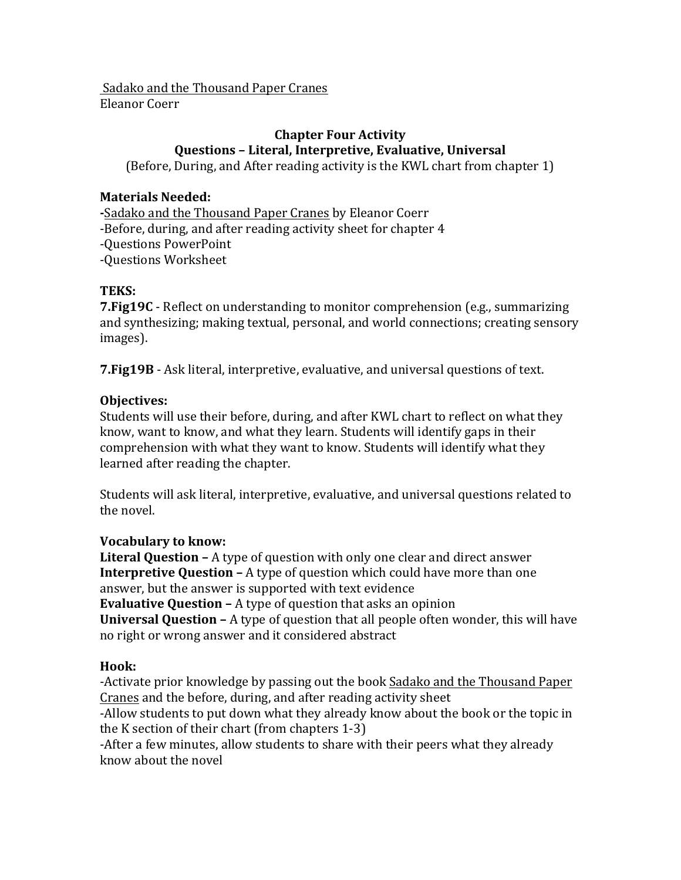Sadako and the Thousand Paper Cranes Eleanor Coerr

# **Chapter Four Activity Questions – Literal, Interpretive, Evaluative, Universal**

(Before, During, and After reading activity is the KWL chart from chapter 1)

### **Materials Needed:**

**-**Sadako and the Thousand Paper Cranes by Eleanor Coerr

-Before, during, and after reading activity sheet for chapter 4

-Questions PowerPoint

-Questions Worksheet

### **TEKS:**

**7. Fig19C** - Reflect on understanding to monitor comprehension (e.g., summarizing and synthesizing; making textual, personal, and world connections; creating sensory images).

**7. Fig19B** - Ask literal, interpretive, evaluative, and universal questions of text.

## **Objectives:**

Students will use their before, during, and after KWL chart to reflect on what they know, want to know, and what they learn. Students will identify gaps in their comprehension with what they want to know. Students will identify what they learned after reading the chapter.

Students will ask literal, interpretive, evaluative, and universal questions related to the novel.

### **Vocabulary to know:**

**Literal Ouestion** – A type of question with only one clear and direct answer **Interpretive Question -** A type of question which could have more than one answer, but the answer is supported with text evidence **Evaluative Question –** A type of question that asks an opinion **Universal Question –** A type of question that all people often wonder, this will have no right or wrong answer and it considered abstract

### **Hook:**

-Activate prior knowledge by passing out the book Sadako and the Thousand Paper Cranes and the before, during, and after reading activity sheet

-Allow students to put down what they already know about the book or the topic in the K section of their chart  $(from$  chapters  $1-3$ )

-After a few minutes, allow students to share with their peers what they already know about the novel